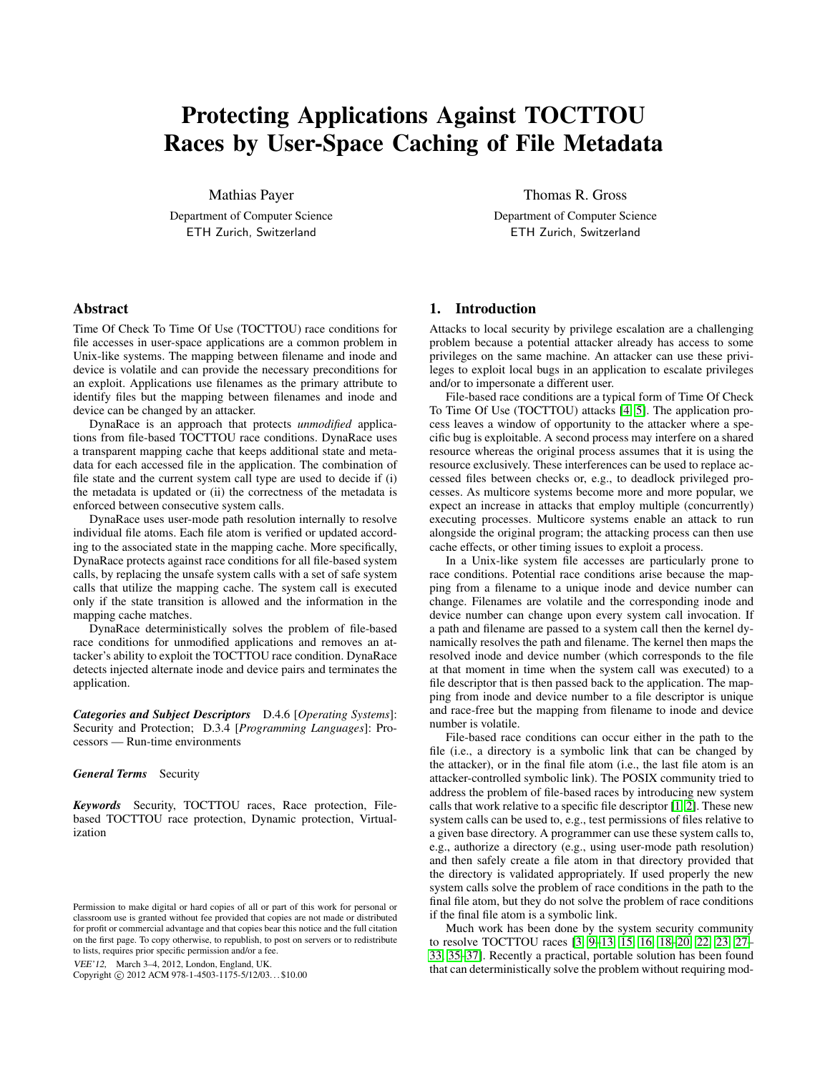# Protecting Applications Against TOCTTOU Races by User-Space Caching of File Metadata

Mathias Payer

Department of Computer Science ETH Zurich, Switzerland

Abstract

Time Of Check To Time Of Use (TOCTTOU) race conditions for file accesses in user-space applications are a common problem in Unix-like systems. The mapping between filename and inode and device is volatile and can provide the necessary preconditions for an exploit. Applications use filenames as the primary attribute to identify files but the mapping between filenames and inode and device can be changed by an attacker.

DynaRace is an approach that protects *unmodified* applications from file-based TOCTTOU race conditions. DynaRace uses a transparent mapping cache that keeps additional state and metadata for each accessed file in the application. The combination of file state and the current system call type are used to decide if (i) the metadata is updated or (ii) the correctness of the metadata is enforced between consecutive system calls.

DynaRace uses user-mode path resolution internally to resolve individual file atoms. Each file atom is verified or updated according to the associated state in the mapping cache. More specifically, DynaRace protects against race conditions for all file-based system calls, by replacing the unsafe system calls with a set of safe system calls that utilize the mapping cache. The system call is executed only if the state transition is allowed and the information in the mapping cache matches.

DynaRace deterministically solves the problem of file-based race conditions for unmodified applications and removes an attacker's ability to exploit the TOCTTOU race condition. DynaRace detects injected alternate inode and device pairs and terminates the application.

*Categories and Subject Descriptors* D.4.6 [*Operating Systems*]: Security and Protection; D.3.4 [*Programming Languages*]: Processors — Run-time environments

# *General Terms* Security

*Keywords* Security, TOCTTOU races, Race protection, Filebased TOCTTOU race protection, Dynamic protection, Virtualization

VEE'12, March 3–4, 2012, London, England, UK.

Copyright © 2012 ACM 978-1-4503-1175-5/12/03... \$10.00

Thomas R. Gross

Department of Computer Science ETH Zurich, Switzerland

# 1. Introduction

Attacks to local security by privilege escalation are a challenging problem because a potential attacker already has access to some privileges on the same machine. An attacker can use these privileges to exploit local bugs in an application to escalate privileges and/or to impersonate a different user.

File-based race conditions are a typical form of Time Of Check To Time Of Use (TOCTTOU) attacks [\[4,](#page-10-0) [5\]](#page-10-1). The application process leaves a window of opportunity to the attacker where a specific bug is exploitable. A second process may interfere on a shared resource whereas the original process assumes that it is using the resource exclusively. These interferences can be used to replace accessed files between checks or, e.g., to deadlock privileged processes. As multicore systems become more and more popular, we expect an increase in attacks that employ multiple (concurrently) executing processes. Multicore systems enable an attack to run alongside the original program; the attacking process can then use cache effects, or other timing issues to exploit a process.

In a Unix-like system file accesses are particularly prone to race conditions. Potential race conditions arise because the mapping from a filename to a unique inode and device number can change. Filenames are volatile and the corresponding inode and device number can change upon every system call invocation. If a path and filename are passed to a system call then the kernel dynamically resolves the path and filename. The kernel then maps the resolved inode and device number (which corresponds to the file at that moment in time when the system call was executed) to a file descriptor that is then passed back to the application. The mapping from inode and device number to a file descriptor is unique and race-free but the mapping from filename to inode and device number is volatile.

File-based race conditions can occur either in the path to the file (i.e., a directory is a symbolic link that can be changed by the attacker), or in the final file atom (i.e., the last file atom is an attacker-controlled symbolic link). The POSIX community tried to address the problem of file-based races by introducing new system calls that work relative to a specific file descriptor [\[1,](#page-10-2) [2\]](#page-10-3). These new system calls can be used to, e.g., test permissions of files relative to a given base directory. A programmer can use these system calls to, e.g., authorize a directory (e.g., using user-mode path resolution) and then safely create a file atom in that directory provided that the directory is validated appropriately. If used properly the new system calls solve the problem of race conditions in the path to the final file atom, but they do not solve the problem of race conditions if the final file atom is a symbolic link.

Much work has been done by the system security community to resolve TOCTTOU races [\[3,](#page-10-4) [9–](#page-10-5)[13,](#page-11-0) [15,](#page-11-1) [16,](#page-11-2) [18](#page-11-3)[–20,](#page-11-4) [22,](#page-11-5) [23,](#page-11-6) [27–](#page-11-7) [33,](#page-11-8) [35](#page-11-9)[–37\]](#page-11-10). Recently a practical, portable solution has been found that can deterministically solve the problem without requiring mod-

Permission to make digital or hard copies of all or part of this work for personal or classroom use is granted without fee provided that copies are not made or distributed for profit or commercial advantage and that copies bear this notice and the full citation on the first page. To copy otherwise, to republish, to post on servers or to redistribute to lists, requires prior specific permission and/or a fee.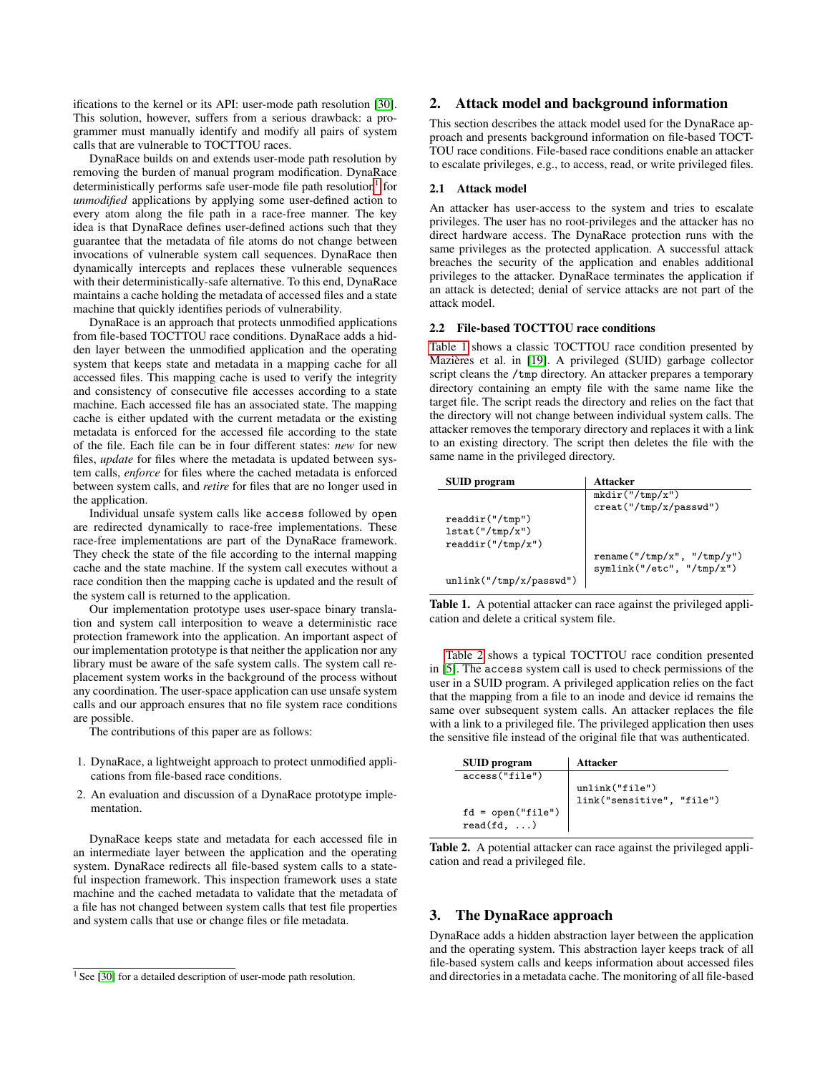ifications to the kernel or its API: user-mode path resolution [\[30\]](#page-11-11). This solution, however, suffers from a serious drawback: a programmer must manually identify and modify all pairs of system calls that are vulnerable to TOCTTOU races.

DynaRace builds on and extends user-mode path resolution by removing the burden of manual program modification. DynaRace deterministically performs safe user-mode file path resolution<sup>[1](#page-1-0)</sup> for *unmodified* applications by applying some user-defined action to every atom along the file path in a race-free manner. The key idea is that DynaRace defines user-defined actions such that they guarantee that the metadata of file atoms do not change between invocations of vulnerable system call sequences. DynaRace then dynamically intercepts and replaces these vulnerable sequences with their deterministically-safe alternative. To this end, DynaRace maintains a cache holding the metadata of accessed files and a state machine that quickly identifies periods of vulnerability.

DynaRace is an approach that protects unmodified applications from file-based TOCTTOU race conditions. DynaRace adds a hidden layer between the unmodified application and the operating system that keeps state and metadata in a mapping cache for all accessed files. This mapping cache is used to verify the integrity and consistency of consecutive file accesses according to a state machine. Each accessed file has an associated state. The mapping cache is either updated with the current metadata or the existing metadata is enforced for the accessed file according to the state of the file. Each file can be in four different states: *new* for new files, *update* for files where the metadata is updated between system calls, *enforce* for files where the cached metadata is enforced between system calls, and *retire* for files that are no longer used in the application.

Individual unsafe system calls like access followed by open are redirected dynamically to race-free implementations. These race-free implementations are part of the DynaRace framework. They check the state of the file according to the internal mapping cache and the state machine. If the system call executes without a race condition then the mapping cache is updated and the result of the system call is returned to the application.

Our implementation prototype uses user-space binary translation and system call interposition to weave a deterministic race protection framework into the application. An important aspect of our implementation prototype is that neither the application nor any library must be aware of the safe system calls. The system call replacement system works in the background of the process without any coordination. The user-space application can use unsafe system calls and our approach ensures that no file system race conditions are possible.

The contributions of this paper are as follows:

- 1. DynaRace, a lightweight approach to protect unmodified applications from file-based race conditions.
- 2. An evaluation and discussion of a DynaRace prototype implementation.

DynaRace keeps state and metadata for each accessed file in an intermediate layer between the application and the operating system. DynaRace redirects all file-based system calls to a stateful inspection framework. This inspection framework uses a state machine and the cached metadata to validate that the metadata of a file has not changed between system calls that test file properties and system calls that use or change files or file metadata.

# 2. Attack model and background information

This section describes the attack model used for the DynaRace approach and presents background information on file-based TOCT-TOU race conditions. File-based race conditions enable an attacker to escalate privileges, e.g., to access, read, or write privileged files.

# 2.1 Attack model

An attacker has user-access to the system and tries to escalate privileges. The user has no root-privileges and the attacker has no direct hardware access. The DynaRace protection runs with the same privileges as the protected application. A successful attack breaches the security of the application and enables additional privileges to the attacker. DynaRace terminates the application if an attack is detected; denial of service attacks are not part of the attack model.

# 2.2 File-based TOCTTOU race conditions

[Table 1](#page-1-1) shows a classic TOCTTOU race condition presented by Mazières et al. in [\[19\]](#page-11-12). A privileged (SUID) garbage collector script cleans the /tmp directory. An attacker prepares a temporary directory containing an empty file with the same name like the target file. The script reads the directory and relies on the fact that the directory will not change between individual system calls. The attacker removes the temporary directory and replaces it with a link to an existing directory. The script then deletes the file with the same name in the privileged directory.

| SUID program            | <b>Attacker</b>                                                                                                            |
|-------------------------|----------------------------------------------------------------------------------------------------------------------------|
|                         | $\frac{m k dir("/tmp/x")}{creat("/tmp/x/passwd")}$                                                                         |
|                         |                                                                                                                            |
| readdir("/tmp")         |                                                                                                                            |
| lstat("/tmp/x")         |                                                                                                                            |
| readdir("/tmp/x")       |                                                                                                                            |
|                         | $\begin{array}{l} \texttt{rename}(\texttt{"/tmp/x", "/tmp/y"}) \\ \texttt{synlink}(\texttt{"/etc", "/tmp/x"}) \end{array}$ |
|                         |                                                                                                                            |
| unlink("/tmp/x/passwd") |                                                                                                                            |
|                         |                                                                                                                            |

<span id="page-1-1"></span>Table 1. A potential attacker can race against the privileged application and delete a critical system file.

[Table 2](#page-1-2) shows a typical TOCTTOU race condition presented in [\[5\]](#page-10-1). The access system call is used to check permissions of the user in a SUID program. A privileged application relies on the fact that the mapping from a file to an inode and device id remains the same over subsequent system calls. An attacker replaces the file with a link to a privileged file. The privileged application then uses the sensitive file instead of the original file that was authenticated.

| <b>SUID</b> program | Attacker                  |
|---------------------|---------------------------|
| access("file")      |                           |
|                     | unlink("file")            |
|                     | link("sensitive", "file") |
| $fd = open("file")$ |                           |
| $read(fd, \ldots)$  |                           |

<span id="page-1-2"></span>Table 2. A potential attacker can race against the privileged application and read a privileged file.

# 3. The DynaRace approach

DynaRace adds a hidden abstraction layer between the application and the operating system. This abstraction layer keeps track of all file-based system calls and keeps information about accessed files and directories in a metadata cache. The monitoring of all file-based

<span id="page-1-0"></span><sup>&</sup>lt;sup>1</sup> See [\[30\]](#page-11-11) for a detailed description of user-mode path resolution.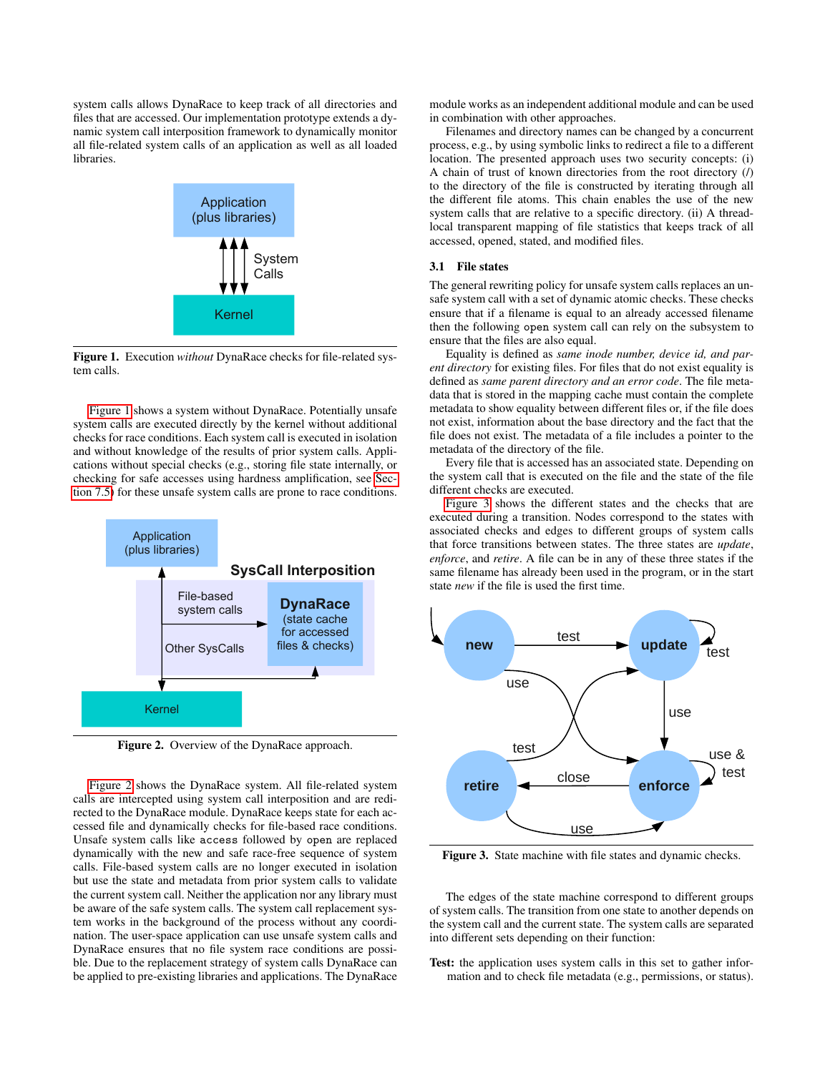system calls allows DynaRace to keep track of all directories and files that are accessed. Our implementation prototype extends a dynamic system call interposition framework to dynamically monitor all file-related system calls of an application as well as all loaded **libraries** 



<span id="page-2-0"></span>Figure 1. Execution *without* DynaRace checks for file-related system calls.

[Figure 1](#page-2-0) shows a system without DynaRace. Potentially unsafe system calls are executed directly by the kernel without additional checks for race conditions. Each system call is executed in isolation and without knowledge of the results of prior system calls. Applications without special checks (e.g., storing file state internally, or checking for safe accesses using hardness amplification, see [Sec](#page-9-0)[tion 7.5\)](#page-9-0) for these unsafe system calls are prone to race conditions.



<span id="page-2-1"></span>Figure 2. Overview of the DynaRace approach.

[Figure 2](#page-2-1) shows the DynaRace system. All file-related system calls are intercepted using system call interposition and are redirected to the DynaRace module. DynaRace keeps state for each accessed file and dynamically checks for file-based race conditions. Unsafe system calls like access followed by open are replaced dynamically with the new and safe race-free sequence of system calls. File-based system calls are no longer executed in isolation but use the state and metadata from prior system calls to validate the current system call. Neither the application nor any library must be aware of the safe system calls. The system call replacement system works in the background of the process without any coordination. The user-space application can use unsafe system calls and DynaRace ensures that no file system race conditions are possible. Due to the replacement strategy of system calls DynaRace can be applied to pre-existing libraries and applications. The DynaRace module works as an independent additional module and can be used in combination with other approaches.

Filenames and directory names can be changed by a concurrent process, e.g., by using symbolic links to redirect a file to a different location. The presented approach uses two security concepts: (i) A chain of trust of known directories from the root directory (/) to the directory of the file is constructed by iterating through all the different file atoms. This chain enables the use of the new system calls that are relative to a specific directory. (ii) A threadlocal transparent mapping of file statistics that keeps track of all accessed, opened, stated, and modified files.

## <span id="page-2-3"></span>3.1 File states

The general rewriting policy for unsafe system calls replaces an unsafe system call with a set of dynamic atomic checks. These checks ensure that if a filename is equal to an already accessed filename then the following open system call can rely on the subsystem to ensure that the files are also equal.

Equality is defined as *same inode number, device id, and parent directory* for existing files. For files that do not exist equality is defined as *same parent directory and an error code*. The file metadata that is stored in the mapping cache must contain the complete metadata to show equality between different files or, if the file does not exist, information about the base directory and the fact that the file does not exist. The metadata of a file includes a pointer to the metadata of the directory of the file.

Every file that is accessed has an associated state. Depending on the system call that is executed on the file and the state of the file different checks are executed.

[Figure 3](#page-2-2) shows the different states and the checks that are executed during a transition. Nodes correspond to the states with associated checks and edges to different groups of system calls that force transitions between states. The three states are *update*, *enforce*, and *retire*. A file can be in any of these three states if the same filename has already been used in the program, or in the start state *new* if the file is used the first time.



<span id="page-2-2"></span>Figure 3. State machine with file states and dynamic checks.

The edges of the state machine correspond to different groups of system calls. The transition from one state to another depends on the system call and the current state. The system calls are separated into different sets depending on their function:

Test: the application uses system calls in this set to gather information and to check file metadata (e.g., permissions, or status).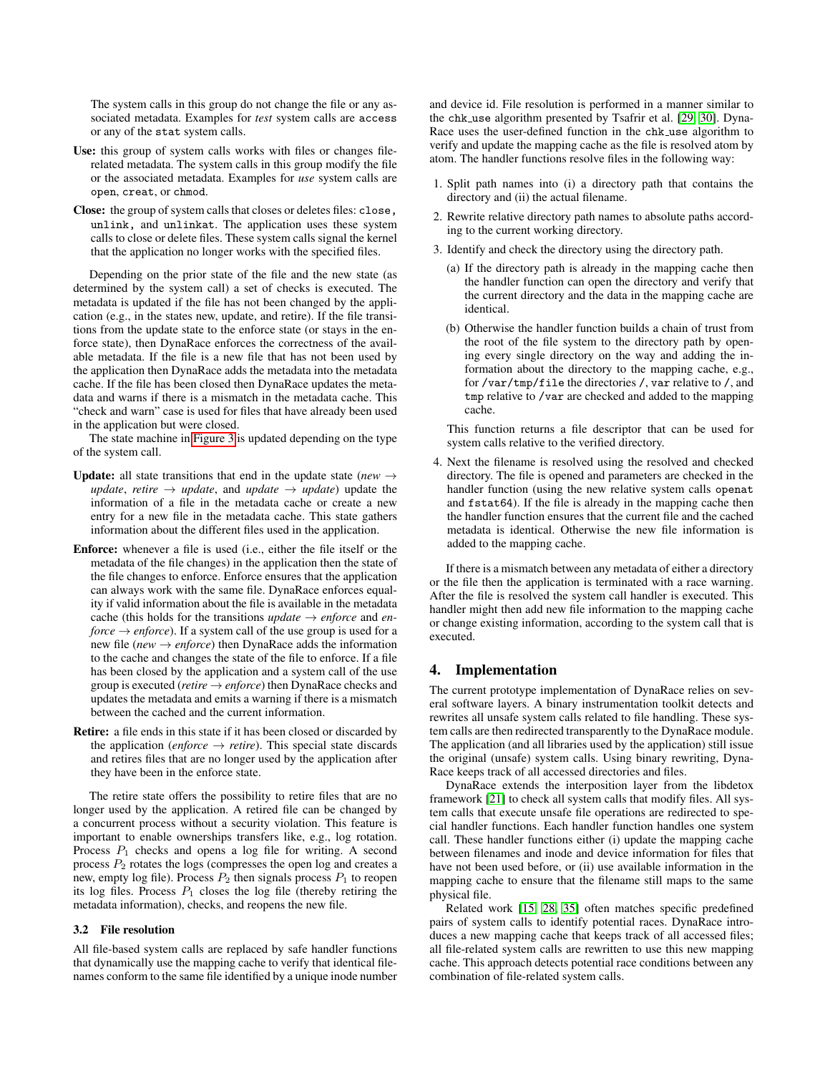The system calls in this group do not change the file or any associated metadata. Examples for *test* system calls are access or any of the stat system calls.

- Use: this group of system calls works with files or changes filerelated metadata. The system calls in this group modify the file or the associated metadata. Examples for *use* system calls are open, creat, or chmod.
- Close: the group of system calls that closes or deletes files: close, unlink, and unlinkat. The application uses these system calls to close or delete files. These system calls signal the kernel that the application no longer works with the specified files.

Depending on the prior state of the file and the new state (as determined by the system call) a set of checks is executed. The metadata is updated if the file has not been changed by the application (e.g., in the states new, update, and retire). If the file transitions from the update state to the enforce state (or stays in the enforce state), then DynaRace enforces the correctness of the available metadata. If the file is a new file that has not been used by the application then DynaRace adds the metadata into the metadata cache. If the file has been closed then DynaRace updates the metadata and warns if there is a mismatch in the metadata cache. This "check and warn" case is used for files that have already been used in the application but were closed.

The state machine in [Figure 3](#page-2-2) is updated depending on the type of the system call.

- Update: all state transitions that end in the update state (*new*  $\rightarrow$ *update, retire*  $\rightarrow$  *update*, and *update*  $\rightarrow$  *update*) update the information of a file in the metadata cache or create a new entry for a new file in the metadata cache. This state gathers information about the different files used in the application.
- Enforce: whenever a file is used (i.e., either the file itself or the metadata of the file changes) in the application then the state of the file changes to enforce. Enforce ensures that the application can always work with the same file. DynaRace enforces equality if valid information about the file is available in the metadata cache (this holds for the transitions  $update \rightarrow enforce$  and *enforce*  $\rightarrow$  *enforce*). If a system call of the use group is used for a new file ( $new \rightarrow enforce$ ) then DynaRace adds the information to the cache and changes the state of the file to enforce. If a file has been closed by the application and a system call of the use group is executed (*retire* → *enforce*) then DynaRace checks and updates the metadata and emits a warning if there is a mismatch between the cached and the current information.
- Retire: a file ends in this state if it has been closed or discarded by the application (*enforce*  $\rightarrow$  *retire*). This special state discards and retires files that are no longer used by the application after they have been in the enforce state.

The retire state offers the possibility to retire files that are no longer used by the application. A retired file can be changed by a concurrent process without a security violation. This feature is important to enable ownerships transfers like, e.g., log rotation. Process  $P_1$  checks and opens a log file for writing. A second process  $P_2$  rotates the logs (compresses the open log and creates a new, empty log file). Process  $P_2$  then signals process  $P_1$  to reopen its log files. Process  $P_1$  closes the log file (thereby retiring the metadata information), checks, and reopens the new file.

# <span id="page-3-0"></span>3.2 File resolution

All file-based system calls are replaced by safe handler functions that dynamically use the mapping cache to verify that identical filenames conform to the same file identified by a unique inode number and device id. File resolution is performed in a manner similar to the chk use algorithm presented by Tsafrir et al. [\[29,](#page-11-13) [30\]](#page-11-11). Dyna-Race uses the user-defined function in the chk use algorithm to verify and update the mapping cache as the file is resolved atom by atom. The handler functions resolve files in the following way:

- 1. Split path names into (i) a directory path that contains the directory and (ii) the actual filename.
- 2. Rewrite relative directory path names to absolute paths according to the current working directory.
- 3. Identify and check the directory using the directory path.
	- (a) If the directory path is already in the mapping cache then the handler function can open the directory and verify that the current directory and the data in the mapping cache are identical.
	- (b) Otherwise the handler function builds a chain of trust from the root of the file system to the directory path by opening every single directory on the way and adding the information about the directory to the mapping cache, e.g., for /var/tmp/file the directories /, var relative to /, and tmp relative to /var are checked and added to the mapping cache.

This function returns a file descriptor that can be used for system calls relative to the verified directory.

4. Next the filename is resolved using the resolved and checked directory. The file is opened and parameters are checked in the handler function (using the new relative system calls openat and fstat64). If the file is already in the mapping cache then the handler function ensures that the current file and the cached metadata is identical. Otherwise the new file information is added to the mapping cache.

If there is a mismatch between any metadata of either a directory or the file then the application is terminated with a race warning. After the file is resolved the system call handler is executed. This handler might then add new file information to the mapping cache or change existing information, according to the system call that is executed.

# 4. Implementation

The current prototype implementation of DynaRace relies on several software layers. A binary instrumentation toolkit detects and rewrites all unsafe system calls related to file handling. These system calls are then redirected transparently to the DynaRace module. The application (and all libraries used by the application) still issue the original (unsafe) system calls. Using binary rewriting, Dyna-Race keeps track of all accessed directories and files.

DynaRace extends the interposition layer from the libdetox framework [\[21\]](#page-11-14) to check all system calls that modify files. All system calls that execute unsafe file operations are redirected to special handler functions. Each handler function handles one system call. These handler functions either (i) update the mapping cache between filenames and inode and device information for files that have not been used before, or (ii) use available information in the mapping cache to ensure that the filename still maps to the same physical file.

Related work [\[15,](#page-11-1) [28,](#page-11-15) [35\]](#page-11-9) often matches specific predefined pairs of system calls to identify potential races. DynaRace introduces a new mapping cache that keeps track of all accessed files; all file-related system calls are rewritten to use this new mapping cache. This approach detects potential race conditions between any combination of file-related system calls.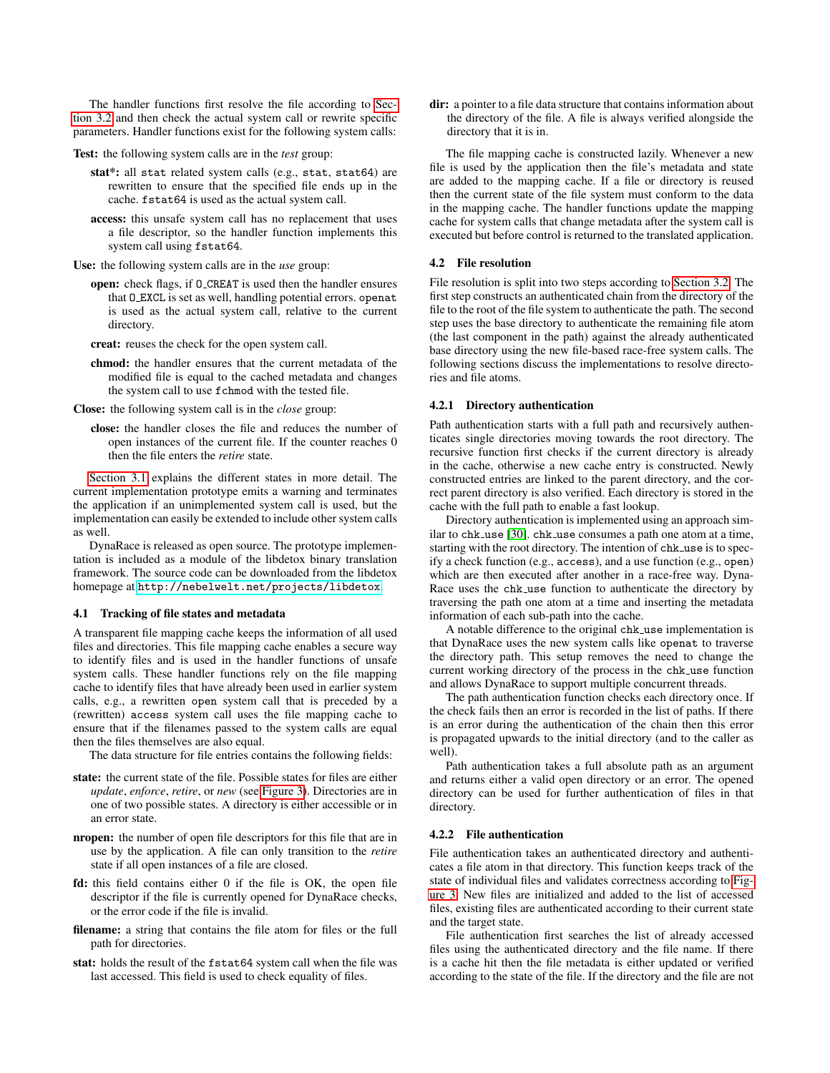The handler functions first resolve the file according to [Sec](#page-3-0)[tion 3.2](#page-3-0) and then check the actual system call or rewrite specific parameters. Handler functions exist for the following system calls:

Test: the following system calls are in the *test* group:

- stat\*: all stat related system calls (e.g., stat, stat64) are rewritten to ensure that the specified file ends up in the cache. fstat64 is used as the actual system call.
- access: this unsafe system call has no replacement that uses a file descriptor, so the handler function implements this system call using fstat64.
- Use: the following system calls are in the *use* group:
	- open: check flags, if O CREAT is used then the handler ensures that O EXCL is set as well, handling potential errors. openat is used as the actual system call, relative to the current directory.
	- creat: reuses the check for the open system call.
	- chmod: the handler ensures that the current metadata of the modified file is equal to the cached metadata and changes the system call to use fchmod with the tested file.
- Close: the following system call is in the *close* group:
	- close: the handler closes the file and reduces the number of open instances of the current file. If the counter reaches 0 then the file enters the *retire* state.

[Section 3.1](#page-2-3) explains the different states in more detail. The current implementation prototype emits a warning and terminates the application if an unimplemented system call is used, but the implementation can easily be extended to include other system calls as well.

DynaRace is released as open source. The prototype implementation is included as a module of the libdetox binary translation framework. The source code can be downloaded from the libdetox homepage at <http://nebelwelt.net/projects/libdetox>.

#### 4.1 Tracking of file states and metadata

A transparent file mapping cache keeps the information of all used files and directories. This file mapping cache enables a secure way to identify files and is used in the handler functions of unsafe system calls. These handler functions rely on the file mapping cache to identify files that have already been used in earlier system calls, e.g., a rewritten open system call that is preceded by a (rewritten) access system call uses the file mapping cache to ensure that if the filenames passed to the system calls are equal then the files themselves are also equal.

The data structure for file entries contains the following fields:

- state: the current state of the file. Possible states for files are either *update*, *enforce*, *retire*, or *new* (see [Figure 3\)](#page-2-2). Directories are in one of two possible states. A directory is either accessible or in an error state.
- nropen: the number of open file descriptors for this file that are in use by the application. A file can only transition to the *retire* state if all open instances of a file are closed.
- fd: this field contains either 0 if the file is OK, the open file descriptor if the file is currently opened for DynaRace checks, or the error code if the file is invalid.
- filename: a string that contains the file atom for files or the full path for directories.
- stat: holds the result of the fstat64 system call when the file was last accessed. This field is used to check equality of files.

dir: a pointer to a file data structure that contains information about the directory of the file. A file is always verified alongside the directory that it is in.

The file mapping cache is constructed lazily. Whenever a new file is used by the application then the file's metadata and state are added to the mapping cache. If a file or directory is reused then the current state of the file system must conform to the data in the mapping cache. The handler functions update the mapping cache for system calls that change metadata after the system call is executed but before control is returned to the translated application.

#### 4.2 File resolution

File resolution is split into two steps according to [Section 3.2.](#page-3-0) The first step constructs an authenticated chain from the directory of the file to the root of the file system to authenticate the path. The second step uses the base directory to authenticate the remaining file atom (the last component in the path) against the already authenticated base directory using the new file-based race-free system calls. The following sections discuss the implementations to resolve directories and file atoms.

### <span id="page-4-0"></span>4.2.1 Directory authentication

Path authentication starts with a full path and recursively authenticates single directories moving towards the root directory. The recursive function first checks if the current directory is already in the cache, otherwise a new cache entry is constructed. Newly constructed entries are linked to the parent directory, and the correct parent directory is also verified. Each directory is stored in the cache with the full path to enable a fast lookup.

Directory authentication is implemented using an approach similar to chk use [\[30\]](#page-11-11). chk use consumes a path one atom at a time, starting with the root directory. The intention of chk use is to specify a check function (e.g., access), and a use function (e.g., open) which are then executed after another in a race-free way. Dyna-Race uses the chk use function to authenticate the directory by traversing the path one atom at a time and inserting the metadata information of each sub-path into the cache.

A notable difference to the original chk use implementation is that DynaRace uses the new system calls like openat to traverse the directory path. This setup removes the need to change the current working directory of the process in the chk\_use function and allows DynaRace to support multiple concurrent threads.

The path authentication function checks each directory once. If the check fails then an error is recorded in the list of paths. If there is an error during the authentication of the chain then this error is propagated upwards to the initial directory (and to the caller as well).

Path authentication takes a full absolute path as an argument and returns either a valid open directory or an error. The opened directory can be used for further authentication of files in that directory.

# <span id="page-4-1"></span>4.2.2 File authentication

File authentication takes an authenticated directory and authenticates a file atom in that directory. This function keeps track of the state of individual files and validates correctness according to [Fig](#page-2-2)[ure 3.](#page-2-2) New files are initialized and added to the list of accessed files, existing files are authenticated according to their current state and the target state.

File authentication first searches the list of already accessed files using the authenticated directory and the file name. If there is a cache hit then the file metadata is either updated or verified according to the state of the file. If the directory and the file are not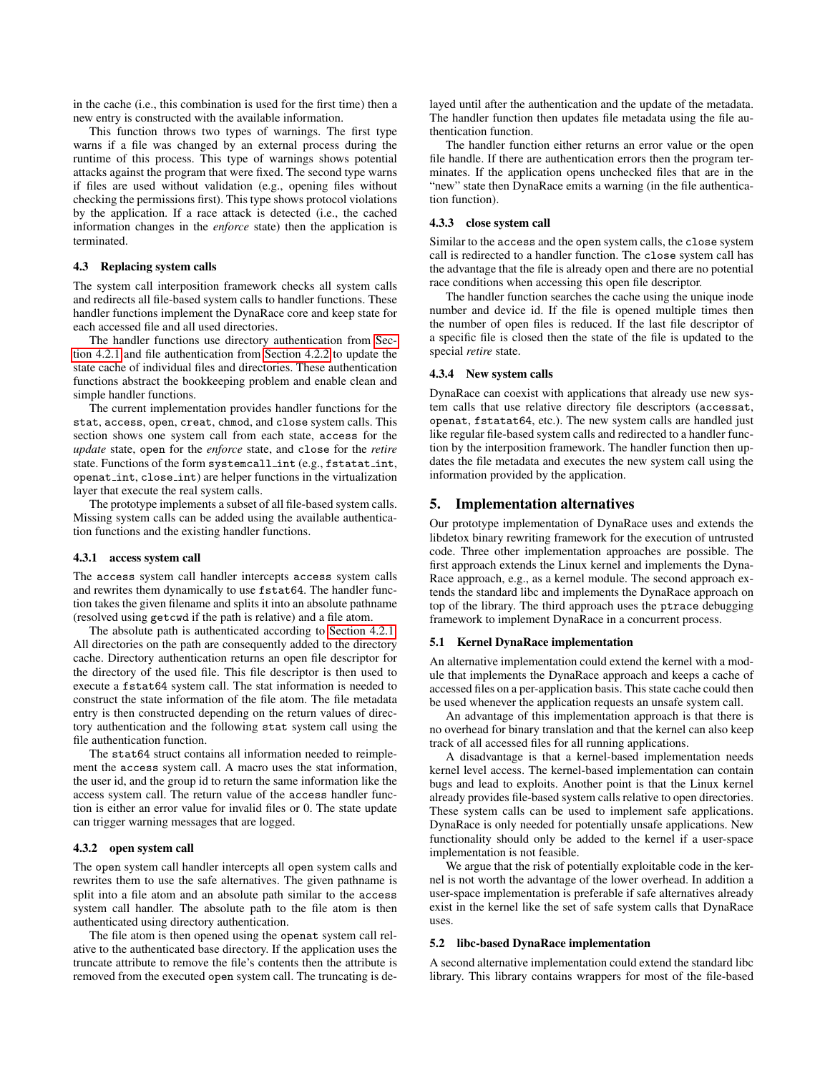in the cache (i.e., this combination is used for the first time) then a new entry is constructed with the available information.

This function throws two types of warnings. The first type warns if a file was changed by an external process during the runtime of this process. This type of warnings shows potential attacks against the program that were fixed. The second type warns if files are used without validation (e.g., opening files without checking the permissions first). This type shows protocol violations by the application. If a race attack is detected (i.e., the cached information changes in the *enforce* state) then the application is terminated.

# 4.3 Replacing system calls

The system call interposition framework checks all system calls and redirects all file-based system calls to handler functions. These handler functions implement the DynaRace core and keep state for each accessed file and all used directories.

The handler functions use directory authentication from [Sec](#page-4-0)[tion 4.2.1](#page-4-0) and file authentication from [Section 4.2.2](#page-4-1) to update the state cache of individual files and directories. These authentication functions abstract the bookkeeping problem and enable clean and simple handler functions.

The current implementation provides handler functions for the stat, access, open, creat, chmod, and close system calls. This section shows one system call from each state, access for the *update* state, open for the *enforce* state, and close for the *retire* state. Functions of the form systemcall\_int (e.g., fstatat\_int, openat int, close int) are helper functions in the virtualization layer that execute the real system calls.

The prototype implements a subset of all file-based system calls. Missing system calls can be added using the available authentication functions and the existing handler functions.

# 4.3.1 access system call

The access system call handler intercepts access system calls and rewrites them dynamically to use fstat64. The handler function takes the given filename and splits it into an absolute pathname (resolved using getcwd if the path is relative) and a file atom.

The absolute path is authenticated according to [Section 4.2.1.](#page-4-0) All directories on the path are consequently added to the directory cache. Directory authentication returns an open file descriptor for the directory of the used file. This file descriptor is then used to execute a fstat64 system call. The stat information is needed to construct the state information of the file atom. The file metadata entry is then constructed depending on the return values of directory authentication and the following stat system call using the file authentication function.

The stat64 struct contains all information needed to reimplement the access system call. A macro uses the stat information, the user id, and the group id to return the same information like the access system call. The return value of the access handler function is either an error value for invalid files or 0. The state update can trigger warning messages that are logged.

# 4.3.2 open system call

The open system call handler intercepts all open system calls and rewrites them to use the safe alternatives. The given pathname is split into a file atom and an absolute path similar to the access system call handler. The absolute path to the file atom is then authenticated using directory authentication.

The file atom is then opened using the openat system call relative to the authenticated base directory. If the application uses the truncate attribute to remove the file's contents then the attribute is removed from the executed open system call. The truncating is delayed until after the authentication and the update of the metadata. The handler function then updates file metadata using the file authentication function.

The handler function either returns an error value or the open file handle. If there are authentication errors then the program terminates. If the application opens unchecked files that are in the "new" state then DynaRace emits a warning (in the file authentication function).

# 4.3.3 close system call

Similar to the access and the open system calls, the close system call is redirected to a handler function. The close system call has the advantage that the file is already open and there are no potential race conditions when accessing this open file descriptor.

The handler function searches the cache using the unique inode number and device id. If the file is opened multiple times then the number of open files is reduced. If the last file descriptor of a specific file is closed then the state of the file is updated to the special *retire* state.

#### 4.3.4 New system calls

DynaRace can coexist with applications that already use new system calls that use relative directory file descriptors (accessat, openat, fstatat64, etc.). The new system calls are handled just like regular file-based system calls and redirected to a handler function by the interposition framework. The handler function then updates the file metadata and executes the new system call using the information provided by the application.

# 5. Implementation alternatives

Our prototype implementation of DynaRace uses and extends the libdetox binary rewriting framework for the execution of untrusted code. Three other implementation approaches are possible. The first approach extends the Linux kernel and implements the Dyna-Race approach, e.g., as a kernel module. The second approach extends the standard libc and implements the DynaRace approach on top of the library. The third approach uses the ptrace debugging framework to implement DynaRace in a concurrent process.

### 5.1 Kernel DynaRace implementation

An alternative implementation could extend the kernel with a module that implements the DynaRace approach and keeps a cache of accessed files on a per-application basis. This state cache could then be used whenever the application requests an unsafe system call.

An advantage of this implementation approach is that there is no overhead for binary translation and that the kernel can also keep track of all accessed files for all running applications.

A disadvantage is that a kernel-based implementation needs kernel level access. The kernel-based implementation can contain bugs and lead to exploits. Another point is that the Linux kernel already provides file-based system calls relative to open directories. These system calls can be used to implement safe applications. DynaRace is only needed for potentially unsafe applications. New functionality should only be added to the kernel if a user-space implementation is not feasible.

We argue that the risk of potentially exploitable code in the kernel is not worth the advantage of the lower overhead. In addition a user-space implementation is preferable if safe alternatives already exist in the kernel like the set of safe system calls that DynaRace uses.

#### 5.2 libc-based DynaRace implementation

A second alternative implementation could extend the standard libc library. This library contains wrappers for most of the file-based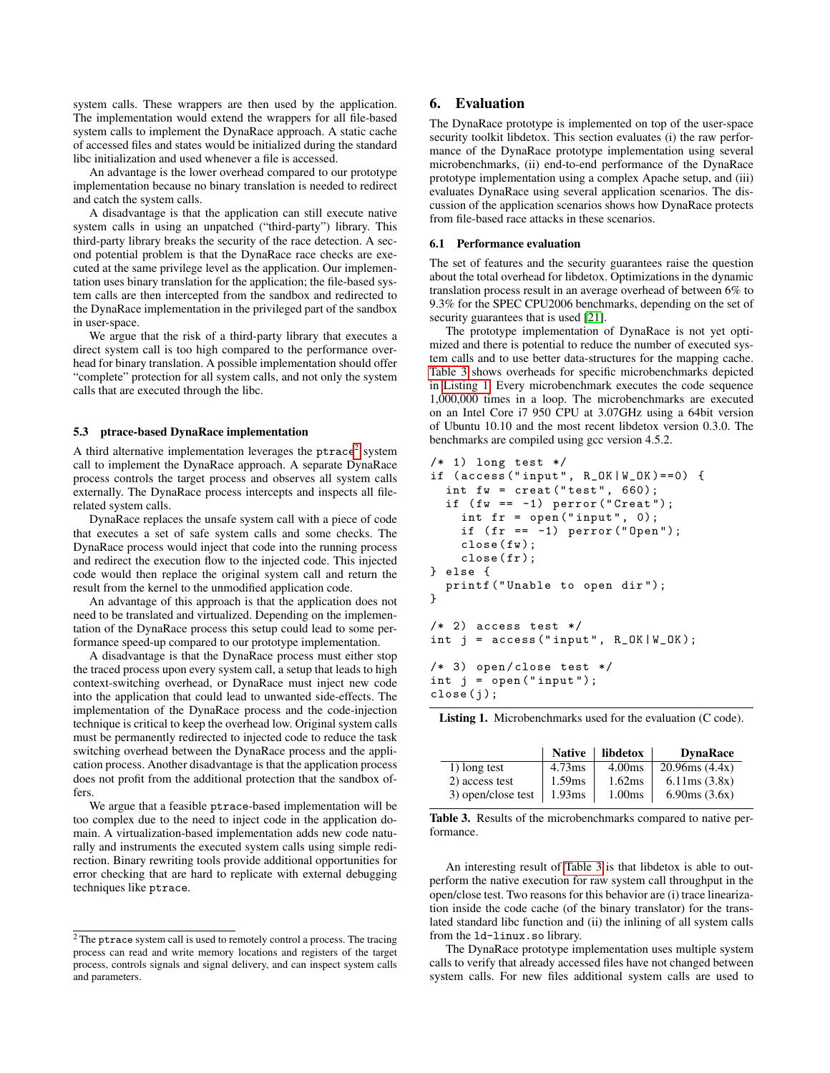system calls. These wrappers are then used by the application. The implementation would extend the wrappers for all file-based system calls to implement the DynaRace approach. A static cache of accessed files and states would be initialized during the standard libc initialization and used whenever a file is accessed.

An advantage is the lower overhead compared to our prototype implementation because no binary translation is needed to redirect and catch the system calls.

A disadvantage is that the application can still execute native system calls in using an unpatched ("third-party") library. This third-party library breaks the security of the race detection. A second potential problem is that the DynaRace race checks are executed at the same privilege level as the application. Our implementation uses binary translation for the application; the file-based system calls are then intercepted from the sandbox and redirected to the DynaRace implementation in the privileged part of the sandbox in user-space.

We argue that the risk of a third-party library that executes a direct system call is too high compared to the performance overhead for binary translation. A possible implementation should offer "complete" protection for all system calls, and not only the system calls that are executed through the libc.

### 5.3 ptrace-based DynaRace implementation

A third alternative implementation leverages the  $ptrace<sup>2</sup>$  $ptrace<sup>2</sup>$  $ptrace<sup>2</sup>$  system call to implement the DynaRace approach. A separate DynaRace process controls the target process and observes all system calls externally. The DynaRace process intercepts and inspects all filerelated system calls.

DynaRace replaces the unsafe system call with a piece of code that executes a set of safe system calls and some checks. The DynaRace process would inject that code into the running process and redirect the execution flow to the injected code. This injected code would then replace the original system call and return the result from the kernel to the unmodified application code.

An advantage of this approach is that the application does not need to be translated and virtualized. Depending on the implementation of the DynaRace process this setup could lead to some performance speed-up compared to our prototype implementation.

A disadvantage is that the DynaRace process must either stop the traced process upon every system call, a setup that leads to high context-switching overhead, or DynaRace must inject new code into the application that could lead to unwanted side-effects. The implementation of the DynaRace process and the code-injection technique is critical to keep the overhead low. Original system calls must be permanently redirected to injected code to reduce the task switching overhead between the DynaRace process and the application process. Another disadvantage is that the application process does not profit from the additional protection that the sandbox offers.

We argue that a feasible ptrace-based implementation will be too complex due to the need to inject code in the application domain. A virtualization-based implementation adds new code naturally and instruments the executed system calls using simple redirection. Binary rewriting tools provide additional opportunities for error checking that are hard to replicate with external debugging techniques like ptrace.

# 6. Evaluation

The DynaRace prototype is implemented on top of the user-space security toolkit libdetox. This section evaluates (i) the raw performance of the DynaRace prototype implementation using several microbenchmarks, (ii) end-to-end performance of the DynaRace prototype implementation using a complex Apache setup, and (iii) evaluates DynaRace using several application scenarios. The discussion of the application scenarios shows how DynaRace protects from file-based race attacks in these scenarios.

# 6.1 Performance evaluation

The set of features and the security guarantees raise the question about the total overhead for libdetox. Optimizations in the dynamic translation process result in an average overhead of between 6% to 9.3% for the SPEC CPU2006 benchmarks, depending on the set of security guarantees that is used [\[21\]](#page-11-14).

The prototype implementation of DynaRace is not yet optimized and there is potential to reduce the number of executed system calls and to use better data-structures for the mapping cache. [Table 3](#page-6-1) shows overheads for specific microbenchmarks depicted in [Listing 1.](#page-6-2) Every microbenchmark executes the code sequence 1,000,000 times in a loop. The microbenchmarks are executed on an Intel Core i7 950 CPU at 3.07GHz using a 64bit version of Ubuntu 10.10 and the most recent libdetox version 0.3.0. The benchmarks are compiled using gcc version 4.5.2.

```
/* 1) long test */if ( access (" input " , R_OK | W_OK )==0) {
  int f_w = \text{create("test", 660)};
  if (fw == -1) perror ("Create");
    int fr = open("input", 0);if (fr == -1) perror ("Open");
    close(fw);close(fr);} else {
  printf (" Unable to open dir ");
}
/* 2) access test */int j = \arccos(s'') input", R_Q(K | W_Q(K));
/* 3) open / close test */
int j = open (" input ");
close(j);
```
Listing 1. Microbenchmarks used for the evaluation (C code).

|                    | <b>Native</b> | libdetox           | <b>DynaRace</b> |
|--------------------|---------------|--------------------|-----------------|
| 1) long test       | 4.73ms        | 4.00ms             | 20.96ms(4.4x)   |
| 2) access test     | 1.59ms        | 1.62ms             | 6.11ms(3.8x)    |
| 3) open/close test | 1.93ms        | 1.00 <sub>ms</sub> | 6.90ms(3.6x)    |

<span id="page-6-1"></span>Table 3. Results of the microbenchmarks compared to native performance.

An interesting result of [Table 3](#page-6-1) is that libdetox is able to outperform the native execution for raw system call throughput in the open/close test. Two reasons for this behavior are (i) trace linearization inside the code cache (of the binary translator) for the translated standard libc function and (ii) the inlining of all system calls from the ld-linux.so library.

The DynaRace prototype implementation uses multiple system calls to verify that already accessed files have not changed between system calls. For new files additional system calls are used to

<span id="page-6-0"></span><sup>2</sup> The ptrace system call is used to remotely control a process. The tracing process can read and write memory locations and registers of the target process, controls signals and signal delivery, and can inspect system calls and parameters.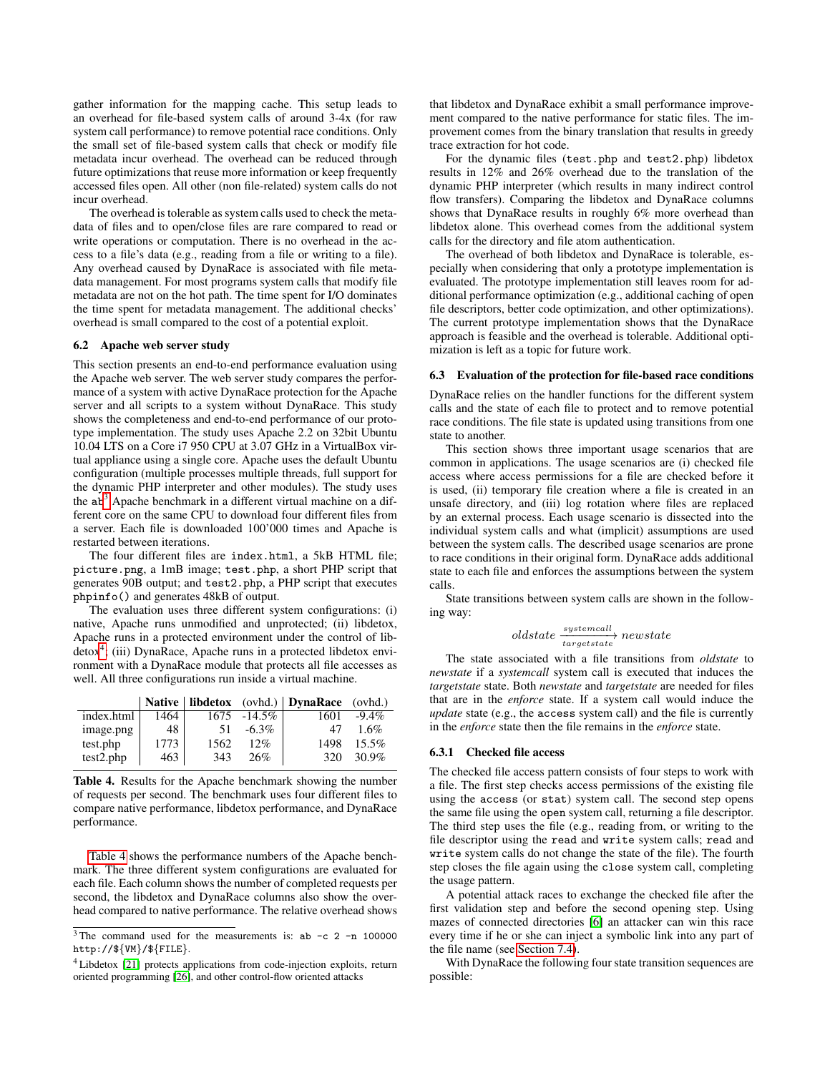gather information for the mapping cache. This setup leads to an overhead for file-based system calls of around 3-4x (for raw system call performance) to remove potential race conditions. Only the small set of file-based system calls that check or modify file metadata incur overhead. The overhead can be reduced through future optimizations that reuse more information or keep frequently accessed files open. All other (non file-related) system calls do not incur overhead.

The overhead is tolerable as system calls used to check the metadata of files and to open/close files are rare compared to read or write operations or computation. There is no overhead in the access to a file's data (e.g., reading from a file or writing to a file). Any overhead caused by DynaRace is associated with file metadata management. For most programs system calls that modify file metadata are not on the hot path. The time spent for I/O dominates the time spent for metadata management. The additional checks' overhead is small compared to the cost of a potential exploit.

#### 6.2 Apache web server study

This section presents an end-to-end performance evaluation using the Apache web server. The web server study compares the performance of a system with active DynaRace protection for the Apache server and all scripts to a system without DynaRace. This study shows the completeness and end-to-end performance of our prototype implementation. The study uses Apache 2.2 on 32bit Ubuntu 10.04 LTS on a Core i7 950 CPU at 3.07 GHz in a VirtualBox virtual appliance using a single core. Apache uses the default Ubuntu configuration (multiple processes multiple threads, full support for the dynamic PHP interpreter and other modules). The study uses the  $ab<sup>3</sup>$  $ab<sup>3</sup>$  $ab<sup>3</sup>$  Apache benchmark in a different virtual machine on a different core on the same CPU to download four different files from a server. Each file is downloaded 100'000 times and Apache is restarted between iterations.

The four different files are index.html, a 5kB HTML file; picture.png, a 1mB image; test.php, a short PHP script that generates 90B output; and test2.php, a PHP script that executes phpinfo() and generates 48kB of output.

The evaluation uses three different system configurations: (i) native, Apache runs unmodified and unprotected; (ii) libdetox, Apache runs in a protected environment under the control of lib-detox<sup>[4](#page-7-1)</sup>; (iii) DynaRace, Apache runs in a protected libdetox environment with a DynaRace module that protects all file accesses as well. All three configurations run inside a virtual machine.

|            |      |      |           | Native   libdetox (ovhd.)   DynaRace (ovhd.) |          |
|------------|------|------|-----------|----------------------------------------------|----------|
| index.html | 1464 | 1675 | $-14.5\%$ | 1601                                         | $-9.4\%$ |
| image.png  | 48   | 51   | $-6.3\%$  | 47                                           | $1.6\%$  |
| test.php   | 1773 | 1562 | 12%       | 1498                                         | $15.5\%$ |
| test2.php  | 463  | 343  | 26%       | 320                                          | $30.9\%$ |

<span id="page-7-2"></span>Table 4. Results for the Apache benchmark showing the number of requests per second. The benchmark uses four different files to compare native performance, libdetox performance, and DynaRace performance.

[Table 4](#page-7-2) shows the performance numbers of the Apache benchmark. The three different system configurations are evaluated for each file. Each column shows the number of completed requests per second, the libdetox and DynaRace columns also show the overhead compared to native performance. The relative overhead shows

that libdetox and DynaRace exhibit a small performance improvement compared to the native performance for static files. The improvement comes from the binary translation that results in greedy trace extraction for hot code.

For the dynamic files (test.php and test2.php) libdetox results in 12% and 26% overhead due to the translation of the dynamic PHP interpreter (which results in many indirect control flow transfers). Comparing the libdetox and DynaRace columns shows that DynaRace results in roughly 6% more overhead than libdetox alone. This overhead comes from the additional system calls for the directory and file atom authentication.

The overhead of both libdetox and DynaRace is tolerable, especially when considering that only a prototype implementation is evaluated. The prototype implementation still leaves room for additional performance optimization (e.g., additional caching of open file descriptors, better code optimization, and other optimizations). The current prototype implementation shows that the DynaRace approach is feasible and the overhead is tolerable. Additional optimization is left as a topic for future work.

### 6.3 Evaluation of the protection for file-based race conditions

DynaRace relies on the handler functions for the different system calls and the state of each file to protect and to remove potential race conditions. The file state is updated using transitions from one state to another.

This section shows three important usage scenarios that are common in applications. The usage scenarios are (i) checked file access where access permissions for a file are checked before it is used, (ii) temporary file creation where a file is created in an unsafe directory, and (iii) log rotation where files are replaced by an external process. Each usage scenario is dissected into the individual system calls and what (implicit) assumptions are used between the system calls. The described usage scenarios are prone to race conditions in their original form. DynaRace adds additional state to each file and enforces the assumptions between the system calls.

State transitions between system calls are shown in the following way:

$$
old state \xrightarrow[targetsate]{systemcall} new state
$$

The state associated with a file transitions from *oldstate* to *newstate* if a *systemcall* system call is executed that induces the *targetstate* state. Both *newstate* and *targetstate* are needed for files that are in the *enforce* state. If a system call would induce the *update* state (e.g., the access system call) and the file is currently in the *enforce* state then the file remains in the *enforce* state.

### 6.3.1 Checked file access

The checked file access pattern consists of four steps to work with a file. The first step checks access permissions of the existing file using the access (or stat) system call. The second step opens the same file using the open system call, returning a file descriptor. The third step uses the file (e.g., reading from, or writing to the file descriptor using the read and write system calls; read and write system calls do not change the state of the file). The fourth step closes the file again using the close system call, completing the usage pattern.

A potential attack races to exchange the checked file after the first validation step and before the second opening step. Using mazes of connected directories [\[6\]](#page-10-6) an attacker can win this race every time if he or she can inject a symbolic link into any part of the file name (see [Section 7.4\)](#page-9-1).

With DynaRace the following four state transition sequences are possible:

<span id="page-7-0"></span> $3$ The command used for the measurements is: ab -c 2 -n 100000 http://\${VM}/\${FILE}.

<span id="page-7-1"></span><sup>4</sup> Libdetox [\[21\]](#page-11-14) protects applications from code-injection exploits, return oriented programming [\[26\]](#page-11-16), and other control-flow oriented attacks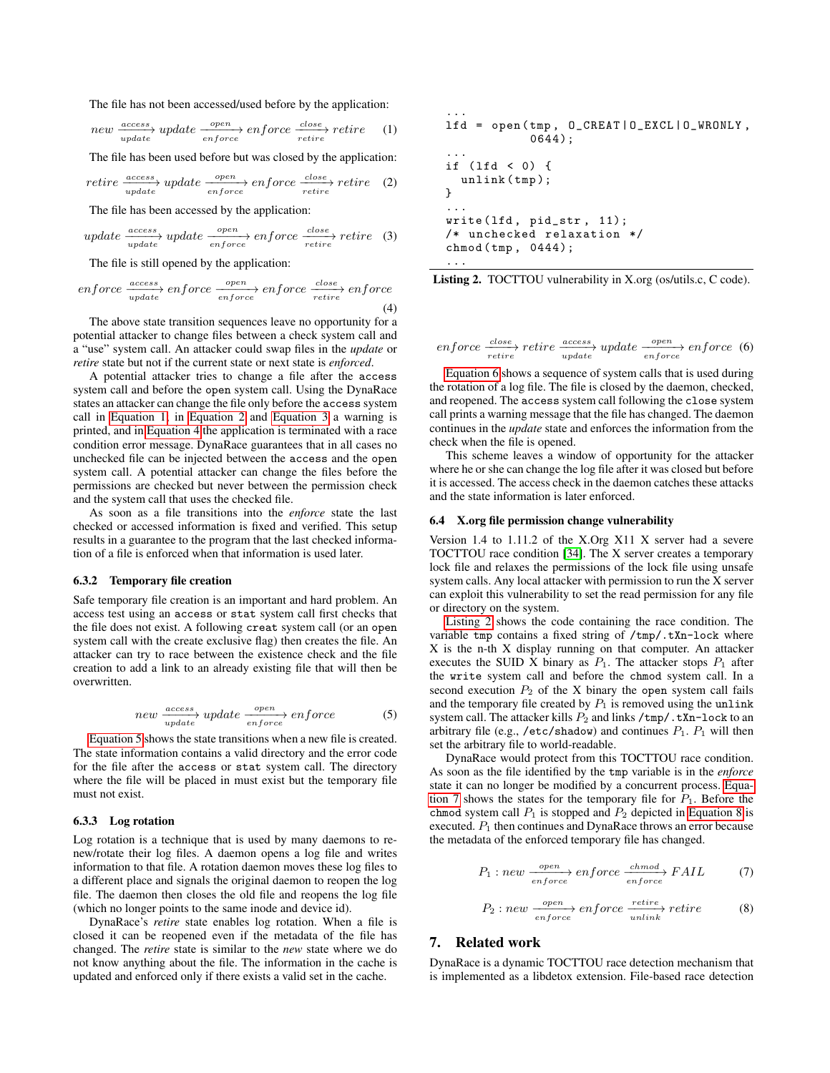The file has not been accessed/used before by the application:

<span id="page-8-0"></span>
$$
new \frac{access}{update} update \frac{open}{enforce} \cdot enforce \frac{close}{retrie} \cdot retire \quad (1)
$$

The file has been used before but was closed by the application:

<span id="page-8-1"></span>
$$
retrie \xrightarrow{access} update \xrightarrow{open} endonce \xrightarrow{close} retire \text{} (2)
$$

The file has been accessed by the application:

<span id="page-8-2"></span>update 
$$
\frac{access}{update}
$$
 update  $\frac{open}{enforce}$  enforce  $\frac{close}{retrie}$  retrieve (3)

The file is still opened by the application:

<span id="page-8-3"></span>
$$
enforce \xrightarrow{access} enforce \xrightarrow{open} -enforce \xrightarrow{close} -enforce
$$
  
\n
$$
= (4)
$$

The above state transition sequences leave no opportunity for a potential attacker to change files between a check system call and a "use" system call. An attacker could swap files in the *update* or *retire* state but not if the current state or next state is *enforced*.

A potential attacker tries to change a file after the access system call and before the open system call. Using the DynaRace states an attacker can change the file only before the access system call in [Equation 1;](#page-8-0) in [Equation 2](#page-8-1) and [Equation 3](#page-8-2) a warning is printed, and in [Equation 4](#page-8-3) the application is terminated with a race condition error message. DynaRace guarantees that in all cases no unchecked file can be injected between the access and the open system call. A potential attacker can change the files before the permissions are checked but never between the permission check and the system call that uses the checked file.

As soon as a file transitions into the *enforce* state the last checked or accessed information is fixed and verified. This setup results in a guarantee to the program that the last checked information of a file is enforced when that information is used later.

# 6.3.2 Temporary file creation

Safe temporary file creation is an important and hard problem. An access test using an access or stat system call first checks that the file does not exist. A following creat system call (or an open system call with the create exclusive flag) then creates the file. An attacker can try to race between the existence check and the file creation to add a link to an already existing file that will then be overwritten.

<span id="page-8-4"></span>
$$
new \xrightarrow{\text{access}} update \xrightarrow{\text{open}} enforce \qquad (5)
$$

[Equation 5](#page-8-4) shows the state transitions when a new file is created. The state information contains a valid directory and the error code for the file after the access or stat system call. The directory where the file will be placed in must exist but the temporary file must not exist.

# 6.3.3 Log rotation

Log rotation is a technique that is used by many daemons to renew/rotate their log files. A daemon opens a log file and writes information to that file. A rotation daemon moves these log files to a different place and signals the original daemon to reopen the log file. The daemon then closes the old file and reopens the log file (which no longer points to the same inode and device id).

DynaRace's *retire* state enables log rotation. When a file is closed it can be reopened even if the metadata of the file has changed. The *retire* state is similar to the *new* state where we do not know anything about the file. The information in the cache is updated and enforced only if there exists a valid set in the cache.

```
lfd = open ( tmp , O_CREAT | O_EXCL | O_WRONLY ,
            0644);
...
if (lfd < 0) {
  unlink (tmp);
}
...
write (lfd, pid_str, 11);
/* unchecked relaxation */
chmod ( tmp , 0444);
...
```
...

Listing 2. TOCTTOU vulnerability in X.org (os/utils.c, C code).

<span id="page-8-5"></span>
$$
enforce \xrightarrow{close} retire \xrightarrow{access} update \xrightarrow{open} enforce
$$
 (6)

[Equation 6](#page-8-5) shows a sequence of system calls that is used during the rotation of a log file. The file is closed by the daemon, checked, and reopened. The access system call following the close system call prints a warning message that the file has changed. The daemon continues in the *update* state and enforces the information from the check when the file is opened.

This scheme leaves a window of opportunity for the attacker where he or she can change the log file after it was closed but before it is accessed. The access check in the daemon catches these attacks and the state information is later enforced.

### 6.4 X.org file permission change vulnerability

Version 1.4 to 1.11.2 of the X.Org X11 X server had a severe TOCTTOU race condition [\[34\]](#page-11-17). The X server creates a temporary lock file and relaxes the permissions of the lock file using unsafe system calls. Any local attacker with permission to run the X server can exploit this vulnerability to set the read permission for any file or directory on the system.

[Listing 2](#page-8-6) shows the code containing the race condition. The variable tmp contains a fixed string of  $/\text{tmp}/\text{txn-lock}$  where X is the n-th X display running on that computer. An attacker executes the SUID X binary as  $P_1$ . The attacker stops  $P_1$  after the write system call and before the chmod system call. In a second execution  $P_2$  of the X binary the open system call fails and the temporary file created by  $P_1$  is removed using the unlink system call. The attacker kills  $P_2$  and links /tmp/.tXn-lock to an arbitrary file (e.g., /etc/shadow) and continues  $P_1$ .  $P_1$  will then set the arbitrary file to world-readable.

DynaRace would protect from this TOCTTOU race condition. As soon as the file identified by the tmp variable is in the *enforce* state it can no longer be modified by a concurrent process. [Equa](#page-8-7)[tion 7](#page-8-7) shows the states for the temporary file for  $P_1$ . Before the chmod system call  $P_1$  is stopped and  $P_2$  depicted in [Equation 8](#page-8-8) is executed.  $P_1$  then continues and DynaRace throws an error because the metadata of the enforced temporary file has changed.

<span id="page-8-7"></span>
$$
P_1: new \xrightarrow{open}_{enforce} \text{enforce} \xrightarrow{chmod} \text{FAIL} \tag{7}
$$

<span id="page-8-8"></span>
$$
P_2: new \xrightarrow{open} \text{enforce} \xrightarrow{retrie} retire
$$
 (8)

## 7. Related work

DynaRace is a dynamic TOCTTOU race detection mechanism that is implemented as a libdetox extension. File-based race detection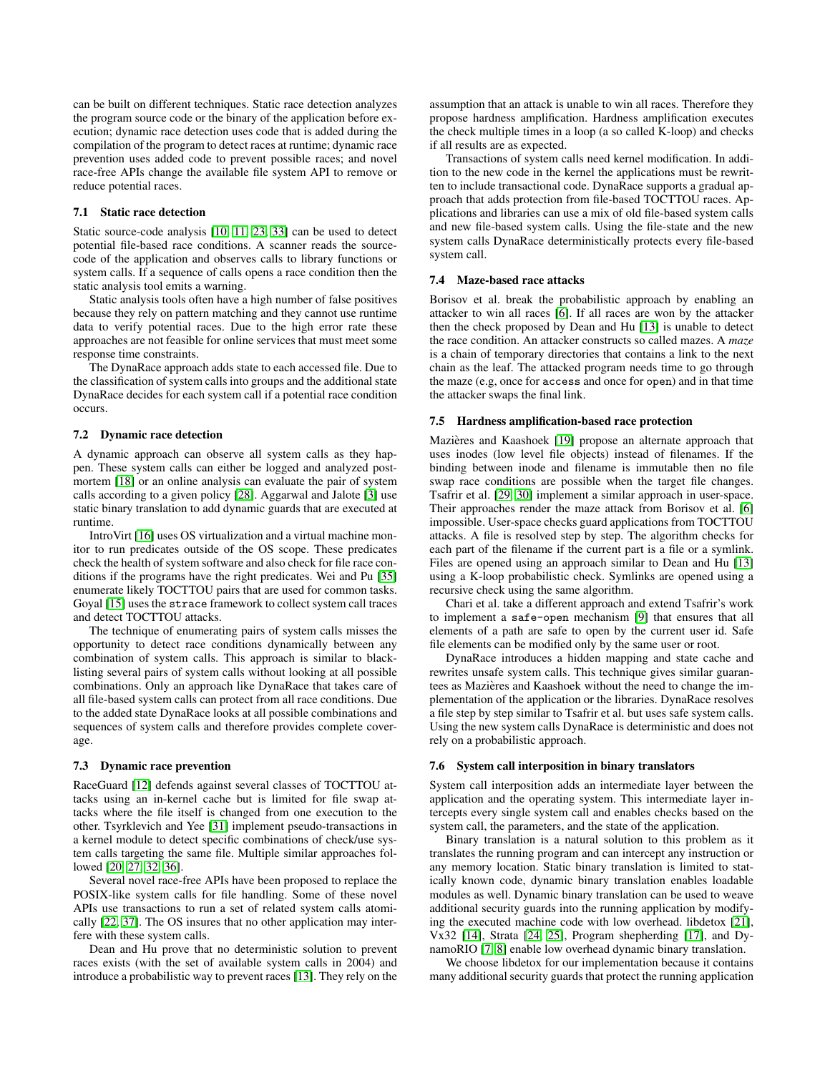can be built on different techniques. Static race detection analyzes the program source code or the binary of the application before execution; dynamic race detection uses code that is added during the compilation of the program to detect races at runtime; dynamic race prevention uses added code to prevent possible races; and novel race-free APIs change the available file system API to remove or reduce potential races.

# 7.1 Static race detection

Static source-code analysis [\[10,](#page-10-7) [11,](#page-11-18) [23,](#page-11-6) [33\]](#page-11-8) can be used to detect potential file-based race conditions. A scanner reads the sourcecode of the application and observes calls to library functions or system calls. If a sequence of calls opens a race condition then the static analysis tool emits a warning.

Static analysis tools often have a high number of false positives because they rely on pattern matching and they cannot use runtime data to verify potential races. Due to the high error rate these approaches are not feasible for online services that must meet some response time constraints.

The DynaRace approach adds state to each accessed file. Due to the classification of system calls into groups and the additional state DynaRace decides for each system call if a potential race condition occurs.

#### 7.2 Dynamic race detection

A dynamic approach can observe all system calls as they happen. These system calls can either be logged and analyzed postmortem [\[18\]](#page-11-3) or an online analysis can evaluate the pair of system calls according to a given policy [\[28\]](#page-11-15). Aggarwal and Jalote [\[3\]](#page-10-4) use static binary translation to add dynamic guards that are executed at runtime.

IntroVirt [\[16\]](#page-11-2) uses OS virtualization and a virtual machine monitor to run predicates outside of the OS scope. These predicates check the health of system software and also check for file race conditions if the programs have the right predicates. Wei and Pu [\[35\]](#page-11-9) enumerate likely TOCTTOU pairs that are used for common tasks. Goyal [\[15\]](#page-11-1) uses the strace framework to collect system call traces and detect TOCTTOU attacks.

The technique of enumerating pairs of system calls misses the opportunity to detect race conditions dynamically between any combination of system calls. This approach is similar to blacklisting several pairs of system calls without looking at all possible combinations. Only an approach like DynaRace that takes care of all file-based system calls can protect from all race conditions. Due to the added state DynaRace looks at all possible combinations and sequences of system calls and therefore provides complete coverage.

# 7.3 Dynamic race prevention

RaceGuard [\[12\]](#page-11-19) defends against several classes of TOCTTOU attacks using an in-kernel cache but is limited for file swap attacks where the file itself is changed from one execution to the other. Tsyrklevich and Yee [\[31\]](#page-11-20) implement pseudo-transactions in a kernel module to detect specific combinations of check/use system calls targeting the same file. Multiple similar approaches followed [\[20,](#page-11-4) [27,](#page-11-7) [32,](#page-11-21) [36\]](#page-11-22).

Several novel race-free APIs have been proposed to replace the POSIX-like system calls for file handling. Some of these novel APIs use transactions to run a set of related system calls atomically [\[22,](#page-11-5) [37\]](#page-11-10). The OS insures that no other application may interfere with these system calls.

Dean and Hu prove that no deterministic solution to prevent races exists (with the set of available system calls in 2004) and introduce a probabilistic way to prevent races [\[13\]](#page-11-0). They rely on the assumption that an attack is unable to win all races. Therefore they propose hardness amplification. Hardness amplification executes the check multiple times in a loop (a so called K-loop) and checks if all results are as expected.

Transactions of system calls need kernel modification. In addition to the new code in the kernel the applications must be rewritten to include transactional code. DynaRace supports a gradual approach that adds protection from file-based TOCTTOU races. Applications and libraries can use a mix of old file-based system calls and new file-based system calls. Using the file-state and the new system calls DynaRace deterministically protects every file-based system call.

### <span id="page-9-1"></span>7.4 Maze-based race attacks

Borisov et al. break the probabilistic approach by enabling an attacker to win all races [\[6\]](#page-10-6). If all races are won by the attacker then the check proposed by Dean and Hu [\[13\]](#page-11-0) is unable to detect the race condition. An attacker constructs so called mazes. A *maze* is a chain of temporary directories that contains a link to the next chain as the leaf. The attacked program needs time to go through the maze (e.g, once for access and once for open) and in that time the attacker swaps the final link.

### <span id="page-9-0"></span>7.5 Hardness amplification-based race protection

Mazières and Kaashoek [\[19\]](#page-11-12) propose an alternate approach that uses inodes (low level file objects) instead of filenames. If the binding between inode and filename is immutable then no file swap race conditions are possible when the target file changes. Tsafrir et al. [\[29,](#page-11-13) [30\]](#page-11-11) implement a similar approach in user-space. Their approaches render the maze attack from Borisov et al. [\[6\]](#page-10-6) impossible. User-space checks guard applications from TOCTTOU attacks. A file is resolved step by step. The algorithm checks for each part of the filename if the current part is a file or a symlink. Files are opened using an approach similar to Dean and Hu [\[13\]](#page-11-0) using a K-loop probabilistic check. Symlinks are opened using a recursive check using the same algorithm.

Chari et al. take a different approach and extend Tsafrir's work to implement a safe-open mechanism [\[9\]](#page-10-5) that ensures that all elements of a path are safe to open by the current user id. Safe file elements can be modified only by the same user or root.

DynaRace introduces a hidden mapping and state cache and rewrites unsafe system calls. This technique gives similar guarantees as Mazières and Kaashoek without the need to change the implementation of the application or the libraries. DynaRace resolves a file step by step similar to Tsafrir et al. but uses safe system calls. Using the new system calls DynaRace is deterministic and does not rely on a probabilistic approach.

# 7.6 System call interposition in binary translators

System call interposition adds an intermediate layer between the application and the operating system. This intermediate layer intercepts every single system call and enables checks based on the system call, the parameters, and the state of the application.

Binary translation is a natural solution to this problem as it translates the running program and can intercept any instruction or any memory location. Static binary translation is limited to statically known code, dynamic binary translation enables loadable modules as well. Dynamic binary translation can be used to weave additional security guards into the running application by modifying the executed machine code with low overhead. libdetox [\[21\]](#page-11-14), Vx32 [\[14\]](#page-11-23), Strata [\[24,](#page-11-24) [25\]](#page-11-25), Program shepherding [\[17\]](#page-11-26), and DynamoRIO [\[7,](#page-10-8) [8\]](#page-10-9) enable low overhead dynamic binary translation.

We choose libdetox for our implementation because it contains many additional security guards that protect the running application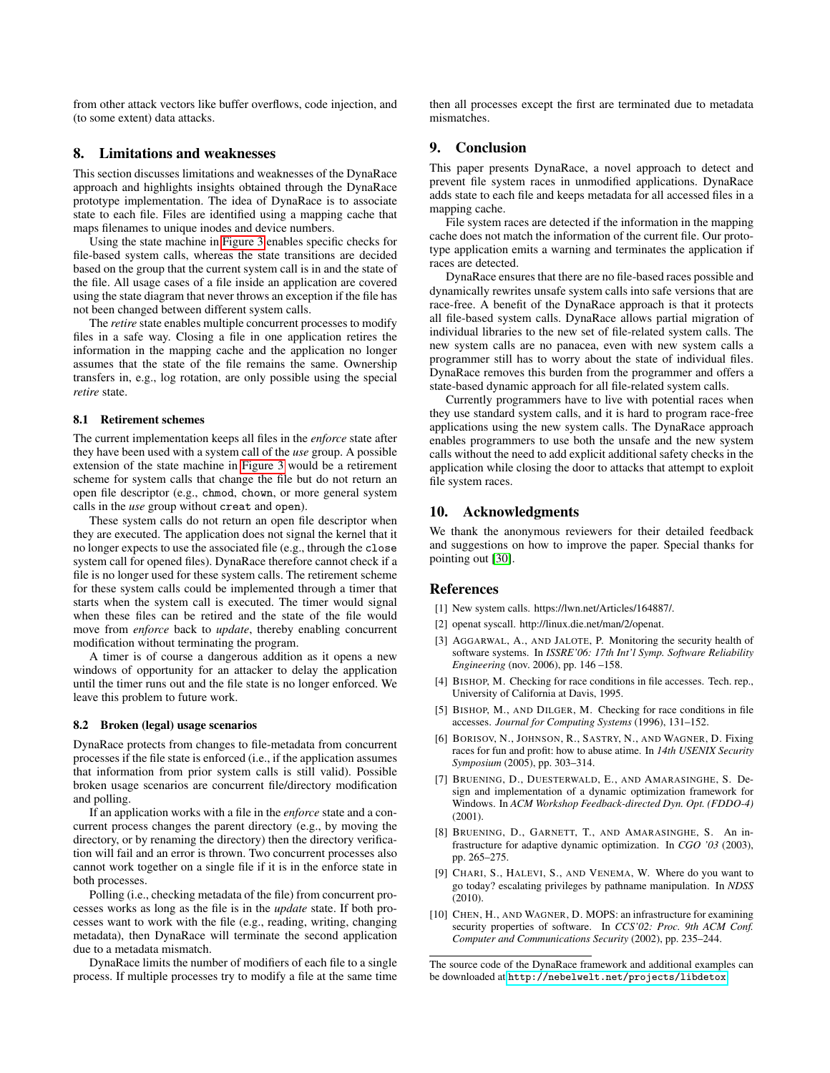from other attack vectors like buffer overflows, code injection, and (to some extent) data attacks.

# 8. Limitations and weaknesses

This section discusses limitations and weaknesses of the DynaRace approach and highlights insights obtained through the DynaRace prototype implementation. The idea of DynaRace is to associate state to each file. Files are identified using a mapping cache that maps filenames to unique inodes and device numbers.

Using the state machine in [Figure 3](#page-2-2) enables specific checks for file-based system calls, whereas the state transitions are decided based on the group that the current system call is in and the state of the file. All usage cases of a file inside an application are covered using the state diagram that never throws an exception if the file has not been changed between different system calls.

The *retire* state enables multiple concurrent processes to modify files in a safe way. Closing a file in one application retires the information in the mapping cache and the application no longer assumes that the state of the file remains the same. Ownership transfers in, e.g., log rotation, are only possible using the special *retire* state.

### 8.1 Retirement schemes

The current implementation keeps all files in the *enforce* state after they have been used with a system call of the *use* group. A possible extension of the state machine in [Figure 3](#page-2-2) would be a retirement scheme for system calls that change the file but do not return an open file descriptor (e.g., chmod, chown, or more general system calls in the *use* group without creat and open).

These system calls do not return an open file descriptor when they are executed. The application does not signal the kernel that it no longer expects to use the associated file (e.g., through the close system call for opened files). DynaRace therefore cannot check if a file is no longer used for these system calls. The retirement scheme for these system calls could be implemented through a timer that starts when the system call is executed. The timer would signal when these files can be retired and the state of the file would move from *enforce* back to *update*, thereby enabling concurrent modification without terminating the program.

A timer is of course a dangerous addition as it opens a new windows of opportunity for an attacker to delay the application until the timer runs out and the file state is no longer enforced. We leave this problem to future work.

### 8.2 Broken (legal) usage scenarios

DynaRace protects from changes to file-metadata from concurrent processes if the file state is enforced (i.e., if the application assumes that information from prior system calls is still valid). Possible broken usage scenarios are concurrent file/directory modification and polling.

If an application works with a file in the *enforce* state and a concurrent process changes the parent directory (e.g., by moving the directory, or by renaming the directory) then the directory verification will fail and an error is thrown. Two concurrent processes also cannot work together on a single file if it is in the enforce state in both processes.

Polling (i.e., checking metadata of the file) from concurrent processes works as long as the file is in the *update* state. If both processes want to work with the file (e.g., reading, writing, changing metadata), then DynaRace will terminate the second application due to a metadata mismatch.

DynaRace limits the number of modifiers of each file to a single process. If multiple processes try to modify a file at the same time then all processes except the first are terminated due to metadata mismatches.

# 9. Conclusion

This paper presents DynaRace, a novel approach to detect and prevent file system races in unmodified applications. DynaRace adds state to each file and keeps metadata for all accessed files in a mapping cache.

File system races are detected if the information in the mapping cache does not match the information of the current file. Our prototype application emits a warning and terminates the application if races are detected.

DynaRace ensures that there are no file-based races possible and dynamically rewrites unsafe system calls into safe versions that are race-free. A benefit of the DynaRace approach is that it protects all file-based system calls. DynaRace allows partial migration of individual libraries to the new set of file-related system calls. The new system calls are no panacea, even with new system calls a programmer still has to worry about the state of individual files. DynaRace removes this burden from the programmer and offers a state-based dynamic approach for all file-related system calls.

Currently programmers have to live with potential races when they use standard system calls, and it is hard to program race-free applications using the new system calls. The DynaRace approach enables programmers to use both the unsafe and the new system calls without the need to add explicit additional safety checks in the application while closing the door to attacks that attempt to exploit file system races.

# 10. Acknowledgments

We thank the anonymous reviewers for their detailed feedback and suggestions on how to improve the paper. Special thanks for pointing out [\[30\]](#page-11-11).

# References

- <span id="page-10-2"></span>[1] New system calls. https://lwn.net/Articles/164887/.
- <span id="page-10-3"></span>[2] openat syscall. http://linux.die.net/man/2/openat.
- <span id="page-10-4"></span>[3] AGGARWAL, A., AND JALOTE, P. Monitoring the security health of software systems. In *ISSRE'06: 17th Int'l Symp. Software Reliability Engineering* (nov. 2006), pp. 146 –158.
- <span id="page-10-0"></span>[4] BISHOP, M. Checking for race conditions in file accesses. Tech. rep., University of California at Davis, 1995.
- <span id="page-10-1"></span>[5] BISHOP, M., AND DILGER, M. Checking for race conditions in file accesses. *Journal for Computing Systems* (1996), 131–152.
- <span id="page-10-6"></span>[6] BORISOV, N., JOHNSON, R., SASTRY, N., AND WAGNER, D. Fixing races for fun and profit: how to abuse atime. In *14th USENIX Security Symposium* (2005), pp. 303–314.
- <span id="page-10-8"></span>[7] BRUENING, D., DUESTERWALD, E., AND AMARASINGHE, S. Design and implementation of a dynamic optimization framework for Windows. In *ACM Workshop Feedback-directed Dyn. Opt. (FDDO-4)* (2001).
- <span id="page-10-9"></span>[8] BRUENING, D., GARNETT, T., AND AMARASINGHE, S. An infrastructure for adaptive dynamic optimization. In *CGO '03* (2003), pp. 265–275.
- <span id="page-10-5"></span>[9] CHARI, S., HALEVI, S., AND VENEMA, W. Where do you want to go today? escalating privileges by pathname manipulation. In *NDSS* (2010).
- <span id="page-10-7"></span>[10] CHEN, H., AND WAGNER, D. MOPS: an infrastructure for examining security properties of software. In *CCS'02: Proc. 9th ACM Conf. Computer and Communications Security* (2002), pp. 235–244.

The source code of the DynaRace framework and additional examples can be downloaded at <http://nebelwelt.net/projects/libdetox>.